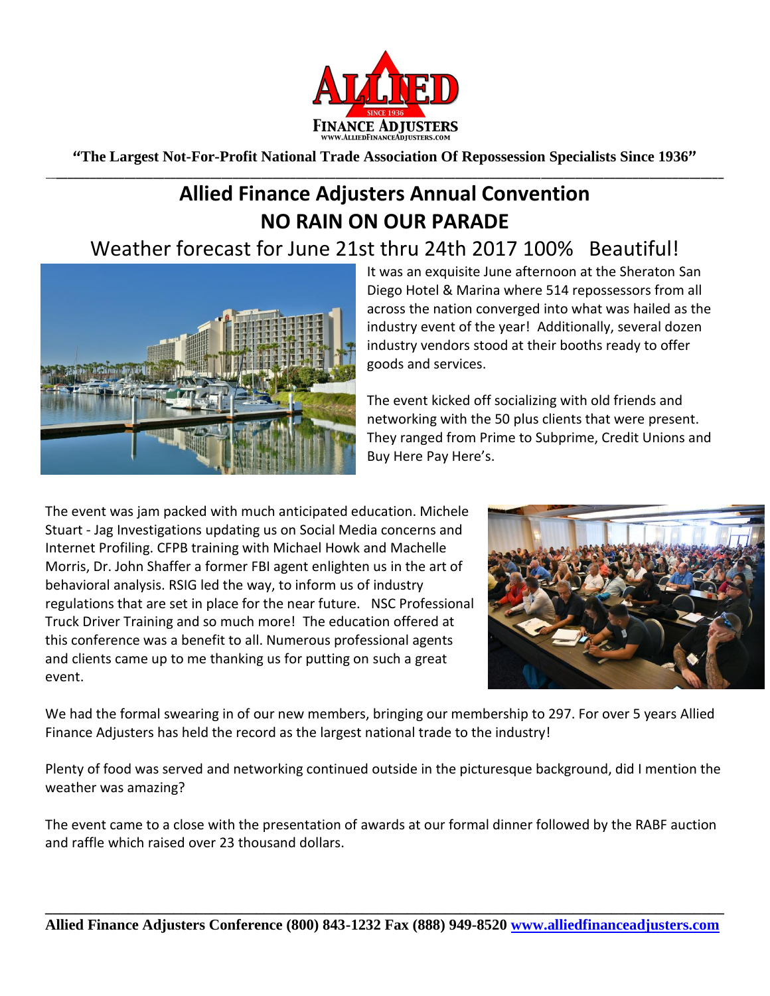

**"The Largest Not-For-Profit National Trade Association Of Repossession Specialists Since 1936"** \_\_**\_\_\_\_\_\_\_\_\_\_\_\_\_\_\_\_\_\_\_\_\_\_\_\_\_\_\_\_\_\_\_\_\_\_\_\_\_\_\_\_\_\_\_\_\_\_\_\_\_\_\_\_\_\_\_\_\_\_\_\_\_\_\_\_\_\_\_\_\_\_\_\_\_\_\_\_\_\_\_\_\_\_\_\_\_\_\_\_\_\_\_\_\_\_\_\_\_\_\_\_\_\_\_\_\_\_\_\_\_\_\_\_\_\_\_\_\_**

## **Allied Finance Adjusters Annual Convention NO RAIN ON OUR PARADE**

## Weather forecast for June 21st thru 24th 2017 100% Beautiful!



It was an exquisite June afternoon at the Sheraton San Diego Hotel & Marina where 514 repossessors from all across the nation converged into what was hailed as the industry event of the year! Additionally, several dozen industry vendors stood at their booths ready to offer goods and services.

The event kicked off socializing with old friends and networking with the 50 plus clients that were present. They ranged from Prime to Subprime, Credit Unions and Buy Here Pay Here's.

The event was jam packed with much anticipated education. Michele Stuart - Jag Investigations updating us on Social Media concerns and Internet Profiling. CFPB training with Michael Howk and Machelle Morris, Dr. John Shaffer a former FBI agent enlighten us in the art of behavioral analysis. RSIG led the way, to inform us of industry regulations that are set in place for the near future. NSC Professional Truck Driver Training and so much more! The education offered at this conference was a benefit to all. Numerous professional agents and clients came up to me thanking us for putting on such a great event.



We had the formal swearing in of our new members, bringing our membership to 297. For over 5 years Allied Finance Adjusters has held the record as the largest national trade to the industry!

Plenty of food was served and networking continued outside in the picturesque background, did I mention the weather was amazing?

The event came to a close with the presentation of awards at our formal dinner followed by the RABF auction and raffle which raised over 23 thousand dollars.